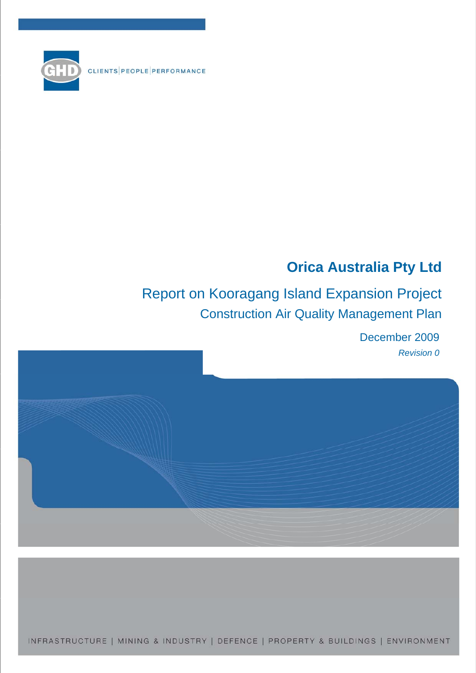CLIENTS PEOPLE PERFORMANCE



# Report on Kooragang Island Expansion Project Construction Air Quality Management Plan

December 2009 *Revision 0* 



INFRASTRUCTURE | MINING & INDUSTRY | DEFENCE | PROPERTY & BUILDINGS | ENVIRONMENT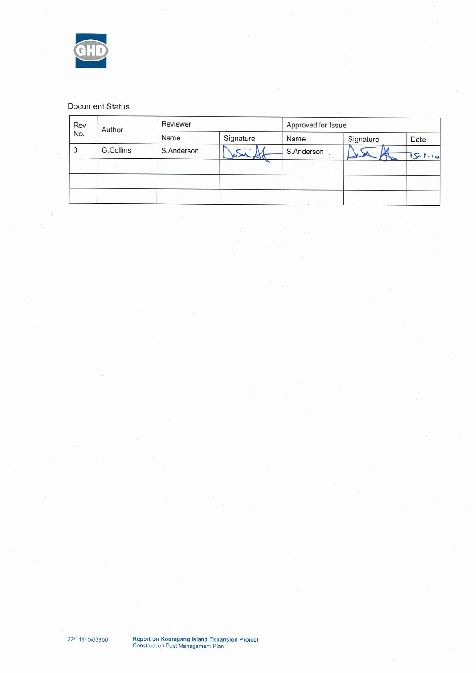

#### Document Status

| Rev<br>No.  | Author    | Reviewer   |           | Approved for Issue |           |              |
|-------------|-----------|------------|-----------|--------------------|-----------|--------------|
|             |           | Name       | Signature | Name               | Signature | Date         |
| $\mathbf 0$ | G.Collins | S.Anderson |           | S.Anderson         |           | $5 - 1 - 10$ |
|             |           |            |           |                    |           |              |
|             |           |            |           |                    |           |              |
|             |           |            |           |                    |           |              |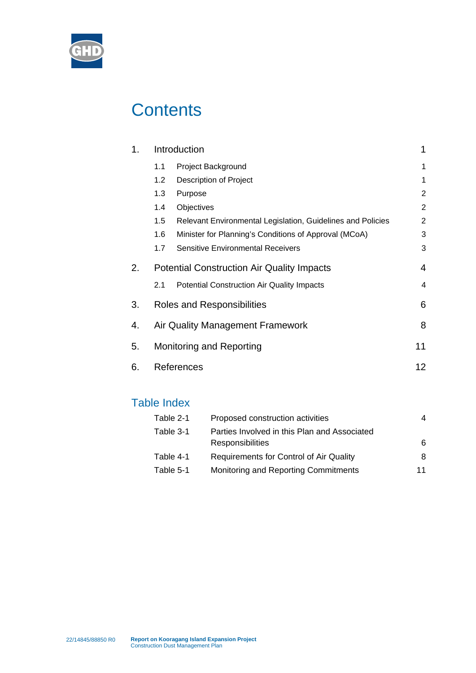

# **Contents**

|     |                                                             | 1                                                                                                                                                                                    |
|-----|-------------------------------------------------------------|--------------------------------------------------------------------------------------------------------------------------------------------------------------------------------------|
| 1.1 | Project Background                                          | 1                                                                                                                                                                                    |
| 1.2 | <b>Description of Project</b>                               | 1                                                                                                                                                                                    |
| 1.3 | Purpose                                                     | $\overline{c}$                                                                                                                                                                       |
| 1.4 | Objectives                                                  | $\overline{c}$                                                                                                                                                                       |
| 1.5 | Relevant Environmental Legislation, Guidelines and Policies | $\overline{c}$                                                                                                                                                                       |
| 1.6 | Minister for Planning's Conditions of Approval (MCoA)       | 3                                                                                                                                                                                    |
| 1.7 | <b>Sensitive Environmental Receivers</b>                    | 3                                                                                                                                                                                    |
|     |                                                             | $\overline{4}$                                                                                                                                                                       |
| 2.1 | <b>Potential Construction Air Quality Impacts</b>           | 4                                                                                                                                                                                    |
|     |                                                             | 6                                                                                                                                                                                    |
|     |                                                             | 8                                                                                                                                                                                    |
|     |                                                             | 11                                                                                                                                                                                   |
|     |                                                             | 12                                                                                                                                                                                   |
|     |                                                             | Introduction<br><b>Potential Construction Air Quality Impacts</b><br>Roles and Responsibilities<br>Air Quality Management Framework<br><b>Monitoring and Reporting</b><br>References |

## Table Index

| Table 2-1 | Proposed construction activities             | 4  |
|-----------|----------------------------------------------|----|
| Table 3-1 | Parties Involved in this Plan and Associated |    |
|           | <b>Responsibilities</b>                      | 6  |
| Table 4-1 | Requirements for Control of Air Quality      | 8  |
| Table 5-1 | Monitoring and Reporting Commitments         | 11 |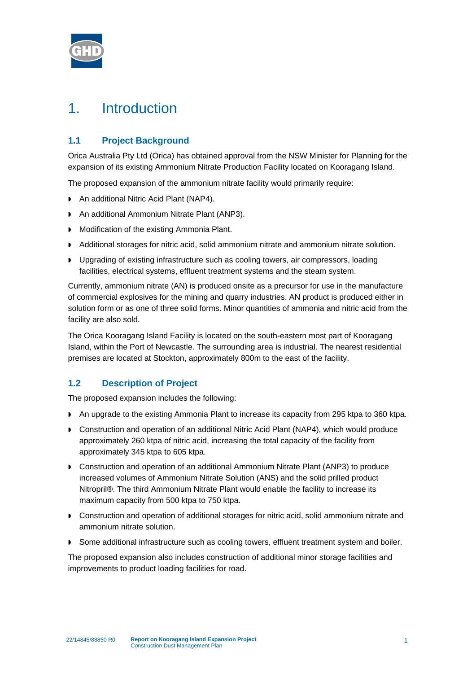

## 1. Introduction

### **1.1 Project Background**

Orica Australia Pty Ltd (Orica) has obtained approval from the NSW Minister for Planning for the expansion of its existing Ammonium Nitrate Production Facility located on Kooragang Island.

The proposed expansion of the ammonium nitrate facility would primarily require:

- ▶ An additional Nitric Acid Plant (NAP4).
- An additional Ammonium Nitrate Plant (ANP3).
- **Modification of the existing Ammonia Plant.**
- Additional storages for nitric acid, solid ammonium nitrate and ammonium nitrate solution.
- Upgrading of existing infrastructure such as cooling towers, air compressors, loading facilities, electrical systems, effluent treatment systems and the steam system.

Currently, ammonium nitrate (AN) is produced onsite as a precursor for use in the manufacture of commercial explosives for the mining and quarry industries. AN product is produced either in solution form or as one of three solid forms. Minor quantities of ammonia and nitric acid from the facility are also sold.

The Orica Kooragang Island Facility is located on the south-eastern most part of Kooragang Island, within the Port of Newcastle. The surrounding area is industrial. The nearest residential premises are located at Stockton, approximately 800m to the east of the facility.

### **1.2 Description of Project**

The proposed expansion includes the following:

- An upgrade to the existing Ammonia Plant to increase its capacity from 295 ktpa to 360 ktpa.
- Construction and operation of an additional Nitric Acid Plant (NAP4), which would produce approximately 260 ktpa of nitric acid, increasing the total capacity of the facility from approximately 345 ktpa to 605 ktpa.
- Construction and operation of an additional Ammonium Nitrate Plant (ANP3) to produce increased volumes of Ammonium Nitrate Solution (ANS) and the solid prilled product Nitropril®. The third Ammonium Nitrate Plant would enable the facility to increase its maximum capacity from 500 ktpa to 750 ktpa.
- Construction and operation of additional storages for nitric acid, solid ammonium nitrate and ammonium nitrate solution.
- Some additional infrastructure such as cooling towers, effluent treatment system and boiler.

The proposed expansion also includes construction of additional minor storage facilities and improvements to product loading facilities for road.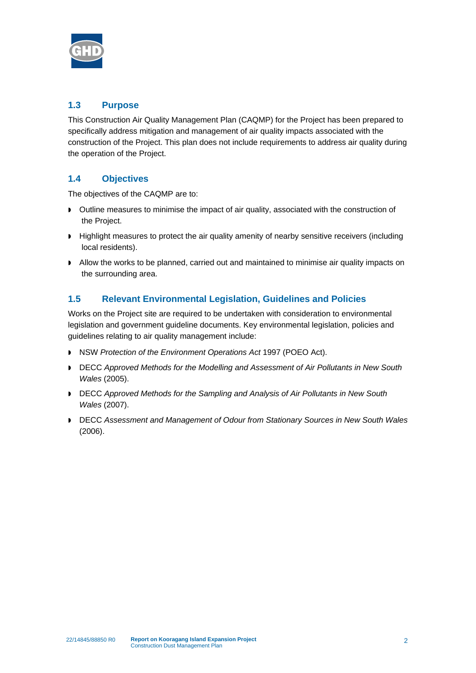

### **1.3 Purpose**

This Construction Air Quality Management Plan (CAQMP) for the Project has been prepared to specifically address mitigation and management of air quality impacts associated with the construction of the Project. This plan does not include requirements to address air quality during the operation of the Project.

### **1.4 Objectives**

The objectives of the CAQMP are to:

- Outline measures to minimise the impact of air quality, associated with the construction of the Project.
- **Highlight measures to protect the air quality amenity of nearby sensitive receivers (including** local residents).
- Allow the works to be planned, carried out and maintained to minimise air quality impacts on the surrounding area.

#### **1.5 Relevant Environmental Legislation, Guidelines and Policies**

Works on the Project site are required to be undertaken with consideration to environmental legislation and government guideline documents. Key environmental legislation, policies and guidelines relating to air quality management include:

- NSW *Protection of the Environment Operations Act* 1997 (POEO Act).
- DECC *Approved Methods for the Modelling and Assessment of Air Pollutants in New South Wales* (2005).
- **DECC** *Approved Methods for the Sampling and Analysis of Air Pollutants in New South Wales* (2007).
- **DECC Assessment and Management of Odour from Stationary Sources in New South Wales** (2006).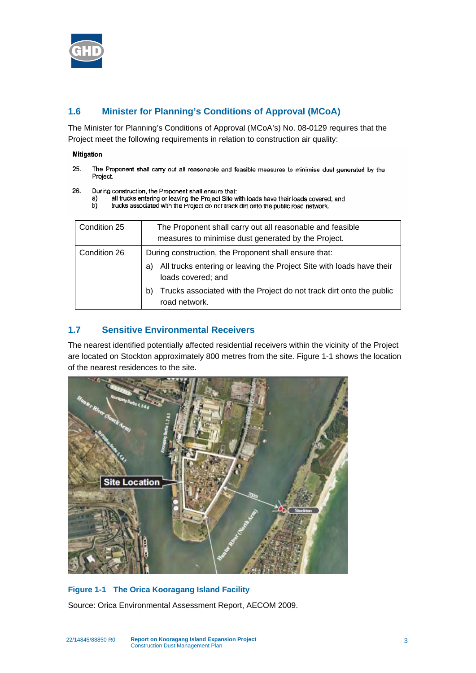

### **1.6 Minister for Planning's Conditions of Approval (MCoA)**

The Minister for Planning's Conditions of Approval (MCoA's) No. 08-0129 requires that the Project meet the following requirements in relation to construction air quality:

#### Mitigation

- 25. The Proponent shall carry out all reasonable and feasible measures to minimise dust generated by the Project.
- 26. During construction, the Proponent shall ensure that:
	- all trucks entering or leaving the Project Site with loads have their loads covered; and a)
	- b) trucks associated with the Project do not track dirt onto the public road network.

| Condition 25 | The Proponent shall carry out all reasonable and feasible<br>measures to minimise dust generated by the Project.                                                                                                                                          |  |
|--------------|-----------------------------------------------------------------------------------------------------------------------------------------------------------------------------------------------------------------------------------------------------------|--|
| Condition 26 | During construction, the Proponent shall ensure that:<br>All trucks entering or leaving the Project Site with loads have their<br>a)<br>loads covered; and<br>Trucks associated with the Project do not track dirt onto the public<br>b)<br>road network. |  |

#### **1.7 Sensitive Environmental Receivers**

The nearest identified potentially affected residential receivers within the vicinity of the Project are located on Stockton approximately 800 metres from the site. [Figure 1-1](#page-5-0) shows the location of the nearest residences to the site.



#### <span id="page-5-0"></span>**Figure 1-1 The Orica Kooragang Island Facility**

Source: Orica Environmental Assessment Report, AECOM 2009.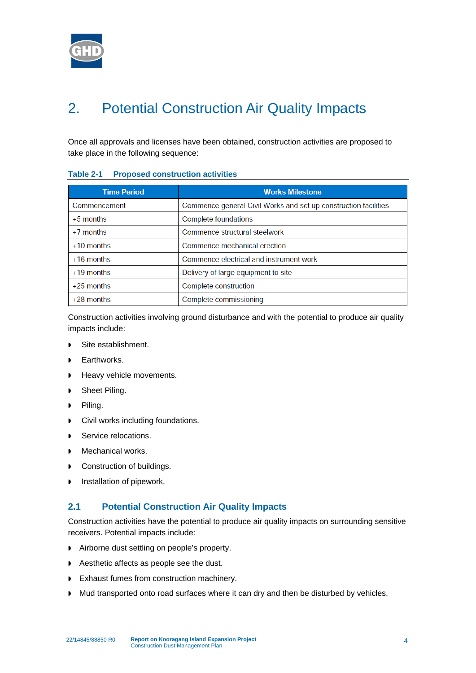

# 2. Potential Construction Air Quality Impacts

Once all approvals and licenses have been obtained, construction activities are proposed to take place in the following sequence:

| <b>Time Period</b> | <b>Works Milestone</b>                                          |
|--------------------|-----------------------------------------------------------------|
| Commencement       | Commence general Civil Works and set up construction facilities |
| $+5$ months        | Complete foundations                                            |
| $+7$ months        | Commence structural steelwork                                   |
| $+10$ months       | Commence mechanical erection                                    |
| $+16$ months       | Commence electrical and instrument work                         |
| $+19$ months       | Delivery of large equipment to site                             |
| $+25$ months       | Complete construction                                           |
| $+28$ months       | Complete commissioning                                          |

#### **Table 2-1 Proposed construction activities**

Construction activities involving ground disturbance and with the potential to produce air quality impacts include:

- Site establishment.
- Earthworks.
- Heavy vehicle movements.
- Sheet Piling.
- Piling.
- **D** Civil works including foundations.
- Service relocations.
- Mechanical works.
- Construction of buildings.
- Installation of pipework.

#### **2.1 Potential Construction Air Quality Impacts**

Construction activities have the potential to produce air quality impacts on surrounding sensitive receivers. Potential impacts include:

- Airborne dust settling on people's property.
- Aesthetic affects as people see the dust.
- **Exhaust fumes from construction machinery.**
- Mud transported onto road surfaces where it can dry and then be disturbed by vehicles.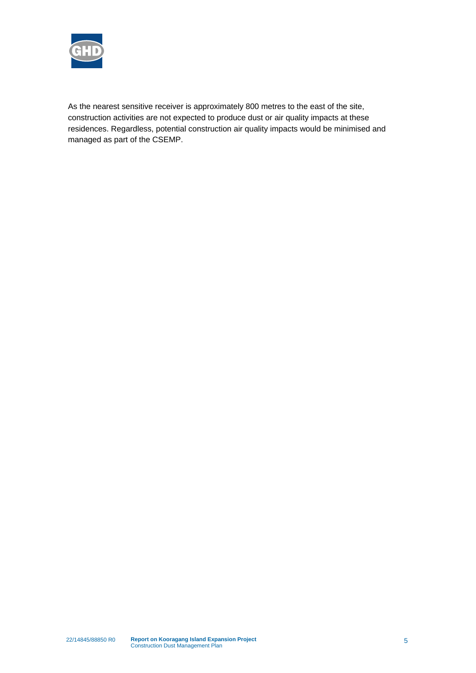

As the nearest sensitive receiver is approximately 800 metres to the east of the site, construction activities are not expected to produce dust or air quality impacts at these residences. Regardless, potential construction air quality impacts would be minimised and managed as part of the CSEMP.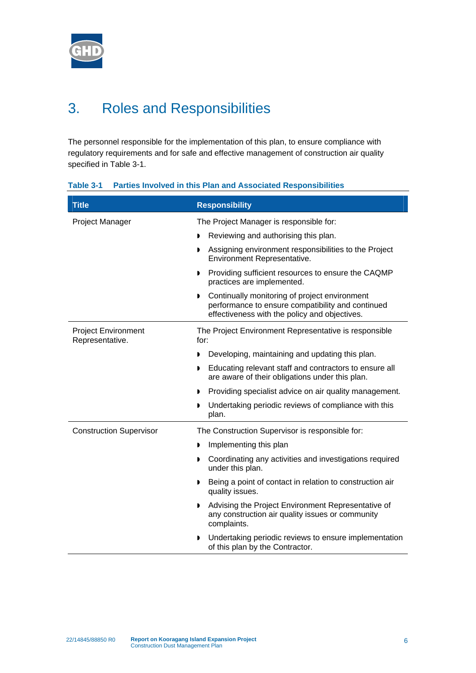

# 3. Roles and Responsibilities

The personnel responsible for the implementation of this plan, to ensure compliance with regulatory requirements and for safe and effective management of construction air quality specified in [Table 3-1](#page-8-0).

<span id="page-8-0"></span>

| Table 3-1 |  |  |  |  | <b>Parties Involved in this Plan and Associated Responsibilities</b> |
|-----------|--|--|--|--|----------------------------------------------------------------------|
|-----------|--|--|--|--|----------------------------------------------------------------------|

| <b>Title</b>                                  | <b>Responsibility</b>                                                                                                                               |  |  |
|-----------------------------------------------|-----------------------------------------------------------------------------------------------------------------------------------------------------|--|--|
| Project Manager                               | The Project Manager is responsible for:                                                                                                             |  |  |
|                                               | Reviewing and authorising this plan.                                                                                                                |  |  |
|                                               | Assigning environment responsibilities to the Project<br>Environment Representative.                                                                |  |  |
|                                               | Providing sufficient resources to ensure the CAQMP<br>▶<br>practices are implemented.                                                               |  |  |
|                                               | Continually monitoring of project environment<br>performance to ensure compatibility and continued<br>effectiveness with the policy and objectives. |  |  |
| <b>Project Environment</b><br>Representative. | The Project Environment Representative is responsible<br>for:                                                                                       |  |  |
|                                               | Developing, maintaining and updating this plan.<br>D                                                                                                |  |  |
|                                               | Educating relevant staff and contractors to ensure all<br>are aware of their obligations under this plan.                                           |  |  |
|                                               | Providing specialist advice on air quality management.<br>D                                                                                         |  |  |
|                                               | Undertaking periodic reviews of compliance with this<br>D<br>plan.                                                                                  |  |  |
| <b>Construction Supervisor</b>                | The Construction Supervisor is responsible for:                                                                                                     |  |  |
|                                               | Implementing this plan                                                                                                                              |  |  |
|                                               | Coordinating any activities and investigations required<br>Þ<br>under this plan.                                                                    |  |  |
|                                               | Being a point of contact in relation to construction air<br>D<br>quality issues.                                                                    |  |  |
|                                               | Advising the Project Environment Representative of<br>D<br>any construction air quality issues or community<br>complaints.                          |  |  |
|                                               | Undertaking periodic reviews to ensure implementation<br>D<br>of this plan by the Contractor.                                                       |  |  |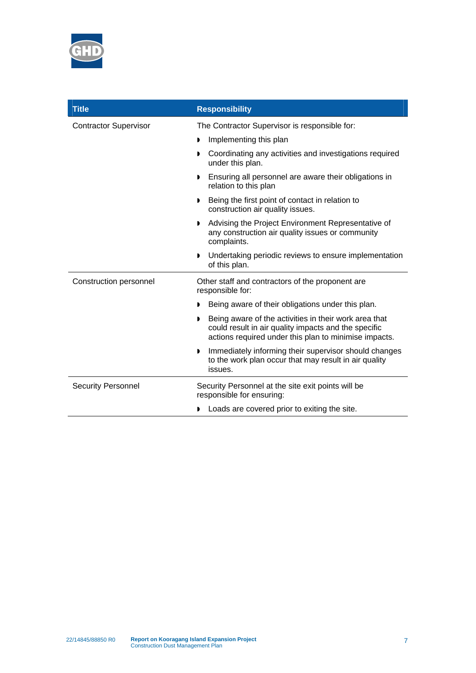

| <b>Title</b>                 | <b>Responsibility</b>                                                                                                                                                       |  |  |
|------------------------------|-----------------------------------------------------------------------------------------------------------------------------------------------------------------------------|--|--|
| <b>Contractor Supervisor</b> | The Contractor Supervisor is responsible for:                                                                                                                               |  |  |
|                              | Implementing this plan<br>D                                                                                                                                                 |  |  |
|                              | Coordinating any activities and investigations required<br>,<br>under this plan.                                                                                            |  |  |
|                              | Ensuring all personnel are aware their obligations in<br>D<br>relation to this plan                                                                                         |  |  |
|                              | Being the first point of contact in relation to<br>D<br>construction air quality issues.                                                                                    |  |  |
|                              | Advising the Project Environment Representative of<br>D<br>any construction air quality issues or community<br>complaints.                                                  |  |  |
|                              | Undertaking periodic reviews to ensure implementation<br>D<br>of this plan.                                                                                                 |  |  |
| Construction personnel       | Other staff and contractors of the proponent are<br>responsible for:                                                                                                        |  |  |
|                              | Being aware of their obligations under this plan.                                                                                                                           |  |  |
|                              | Being aware of the activities in their work area that<br>D<br>could result in air quality impacts and the specific<br>actions required under this plan to minimise impacts. |  |  |
|                              | Immediately informing their supervisor should changes<br>▶<br>to the work plan occur that may result in air quality<br>issues.                                              |  |  |
| <b>Security Personnel</b>    | Security Personnel at the site exit points will be<br>responsible for ensuring:                                                                                             |  |  |
|                              | Loads are covered prior to exiting the site.                                                                                                                                |  |  |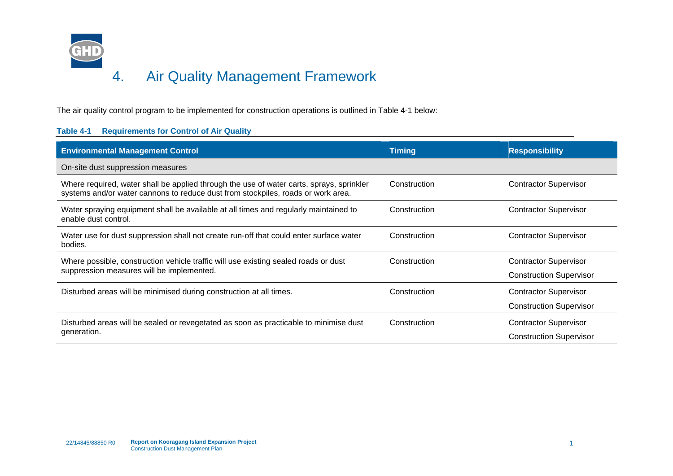

The air quality control program to be implemented for construction operations is outlined in [Table 4-1](#page-10-0) below:

#### <span id="page-10-0"></span>**Table 4-1 Requirements for Control of Air Quality**

| <b>Environmental Management Control</b>                                                                                                                                      | <b>Timing</b> | <b>Responsibility</b>                                          |
|------------------------------------------------------------------------------------------------------------------------------------------------------------------------------|---------------|----------------------------------------------------------------|
| On-site dust suppression measures                                                                                                                                            |               |                                                                |
| Where required, water shall be applied through the use of water carts, sprays, sprinkler<br>systems and/or water cannons to reduce dust from stockpiles, roads or work area. | Construction  | <b>Contractor Supervisor</b>                                   |
| Water spraying equipment shall be available at all times and regularly maintained to<br>enable dust control.                                                                 | Construction  | <b>Contractor Supervisor</b>                                   |
| Water use for dust suppression shall not create run-off that could enter surface water<br>bodies.                                                                            | Construction  | <b>Contractor Supervisor</b>                                   |
| Where possible, construction vehicle traffic will use existing sealed roads or dust<br>suppression measures will be implemented.                                             | Construction  | <b>Contractor Supervisor</b><br><b>Construction Supervisor</b> |
| Disturbed areas will be minimised during construction at all times.                                                                                                          | Construction  | <b>Contractor Supervisor</b><br><b>Construction Supervisor</b> |
| Disturbed areas will be sealed or revegetated as soon as practicable to minimise dust<br>generation.                                                                         | Construction  | <b>Contractor Supervisor</b><br><b>Construction Supervisor</b> |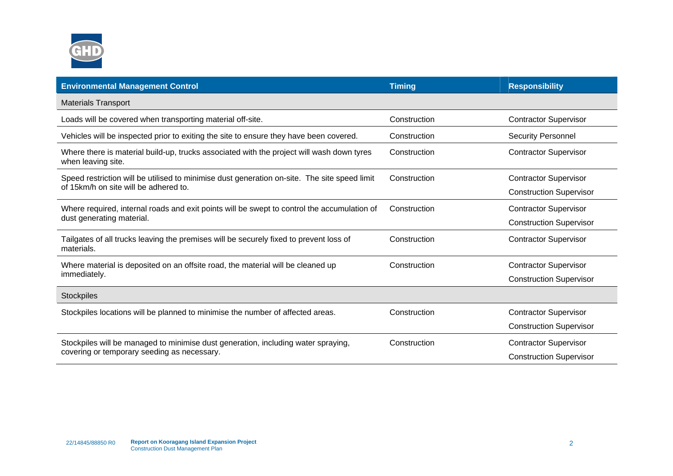

| <b>Environmental Management Control</b>                                                                         | <b>Timing</b> | <b>Responsibility</b>          |
|-----------------------------------------------------------------------------------------------------------------|---------------|--------------------------------|
| <b>Materials Transport</b>                                                                                      |               |                                |
| Loads will be covered when transporting material off-site.                                                      | Construction  | <b>Contractor Supervisor</b>   |
| Vehicles will be inspected prior to exiting the site to ensure they have been covered.                          | Construction  | <b>Security Personnel</b>      |
| Where there is material build-up, trucks associated with the project will wash down tyres<br>when leaving site. | Construction  | <b>Contractor Supervisor</b>   |
| Speed restriction will be utilised to minimise dust generation on-site. The site speed limit                    | Construction  | <b>Contractor Supervisor</b>   |
| of 15km/h on site will be adhered to.                                                                           |               | <b>Construction Supervisor</b> |
| Where required, internal roads and exit points will be swept to control the accumulation of                     | Construction  | <b>Contractor Supervisor</b>   |
| dust generating material.                                                                                       |               | <b>Construction Supervisor</b> |
| Tailgates of all trucks leaving the premises will be securely fixed to prevent loss of<br>materials.            | Construction  | <b>Contractor Supervisor</b>   |
| Where material is deposited on an offsite road, the material will be cleaned up                                 | Construction  | <b>Contractor Supervisor</b>   |
| immediately.                                                                                                    |               | <b>Construction Supervisor</b> |
| Stockpiles                                                                                                      |               |                                |
| Stockpiles locations will be planned to minimise the number of affected areas.                                  | Construction  | <b>Contractor Supervisor</b>   |
|                                                                                                                 |               | <b>Construction Supervisor</b> |
| Stockpiles will be managed to minimise dust generation, including water spraying,                               | Construction  | <b>Contractor Supervisor</b>   |
| covering or temporary seeding as necessary.                                                                     |               | <b>Construction Supervisor</b> |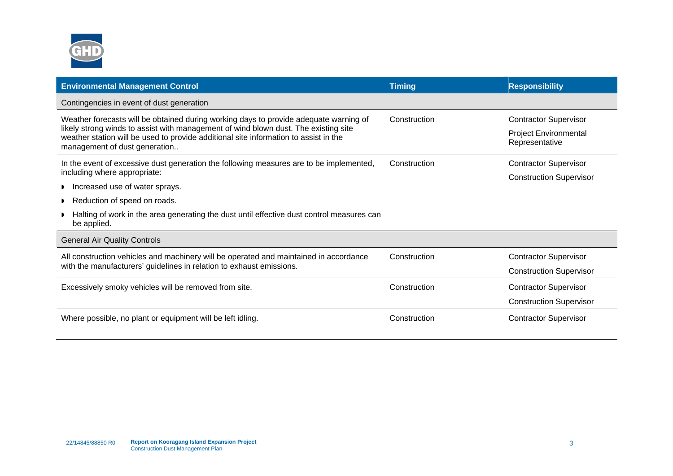

| <b>Environmental Management Control</b>                                                                                                                                                                      | <b>Timing</b> | <b>Responsibility</b>                          |
|--------------------------------------------------------------------------------------------------------------------------------------------------------------------------------------------------------------|---------------|------------------------------------------------|
| Contingencies in event of dust generation                                                                                                                                                                    |               |                                                |
| Weather forecasts will be obtained during working days to provide adequate warning of                                                                                                                        | Construction  | <b>Contractor Supervisor</b>                   |
| likely strong winds to assist with management of wind blown dust. The existing site<br>weather station will be used to provide additional site information to assist in the<br>management of dust generation |               | <b>Project Environmental</b><br>Representative |
| In the event of excessive dust generation the following measures are to be implemented,                                                                                                                      | Construction  | <b>Contractor Supervisor</b>                   |
| including where appropriate:                                                                                                                                                                                 |               | <b>Construction Supervisor</b>                 |
| Increased use of water sprays.                                                                                                                                                                               |               |                                                |
| Reduction of speed on roads.                                                                                                                                                                                 |               |                                                |
| Halting of work in the area generating the dust until effective dust control measures can<br>be applied.                                                                                                     |               |                                                |
| <b>General Air Quality Controls</b>                                                                                                                                                                          |               |                                                |
| All construction vehicles and machinery will be operated and maintained in accordance                                                                                                                        | Construction  | <b>Contractor Supervisor</b>                   |
| with the manufacturers' guidelines in relation to exhaust emissions.                                                                                                                                         |               | <b>Construction Supervisor</b>                 |
| Excessively smoky vehicles will be removed from site.                                                                                                                                                        | Construction  | <b>Contractor Supervisor</b>                   |
|                                                                                                                                                                                                              |               | <b>Construction Supervisor</b>                 |
| Where possible, no plant or equipment will be left idling.                                                                                                                                                   | Construction  | <b>Contractor Supervisor</b>                   |
|                                                                                                                                                                                                              |               |                                                |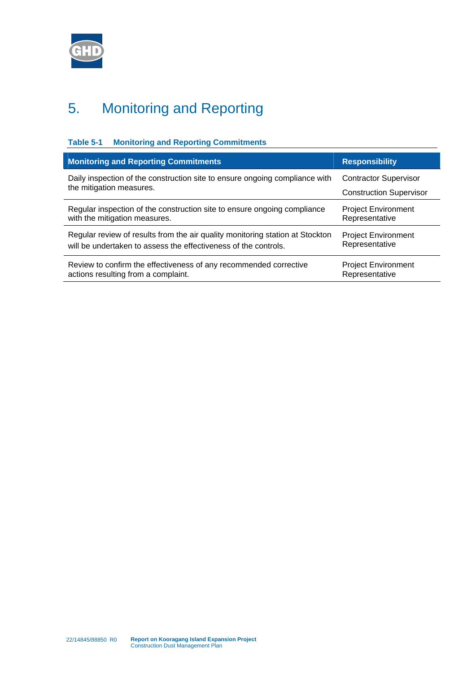

# 5. Monitoring and Reporting

| Table 5-1<br><b>Monitoring and Reporting Commitments</b>                      |                                |  |  |  |
|-------------------------------------------------------------------------------|--------------------------------|--|--|--|
| <b>Monitoring and Reporting Commitments</b><br><b>Responsibility</b>          |                                |  |  |  |
| Daily inspection of the construction site to ensure ongoing compliance with   | <b>Contractor Supervisor</b>   |  |  |  |
| the mitigation measures.                                                      | <b>Construction Supervisor</b> |  |  |  |
| Regular inspection of the construction site to ensure ongoing compliance      | <b>Project Environment</b>     |  |  |  |
| with the mitigation measures.                                                 | Representative                 |  |  |  |
| Regular review of results from the air quality monitoring station at Stockton | <b>Project Environment</b>     |  |  |  |
| will be undertaken to assess the effectiveness of the controls.               | Representative                 |  |  |  |
| Review to confirm the effectiveness of any recommended corrective             | <b>Project Environment</b>     |  |  |  |
| actions resulting from a complaint.                                           | Representative                 |  |  |  |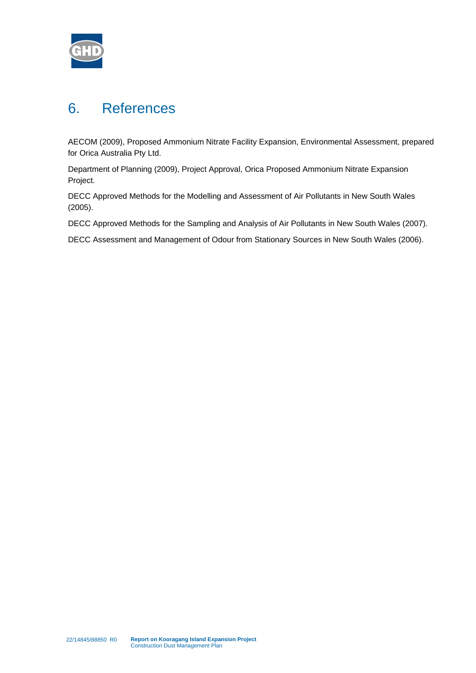

## 6. References

AECOM (2009), Proposed Ammonium Nitrate Facility Expansion, Environmental Assessment, prepared for Orica Australia Pty Ltd.

Department of Planning (2009), Project Approval, Orica Proposed Ammonium Nitrate Expansion Project.

DECC Approved Methods for the Modelling and Assessment of Air Pollutants in New South Wales (2005).

DECC Approved Methods for the Sampling and Analysis of Air Pollutants in New South Wales (2007).

DECC Assessment and Management of Odour from Stationary Sources in New South Wales (2006).